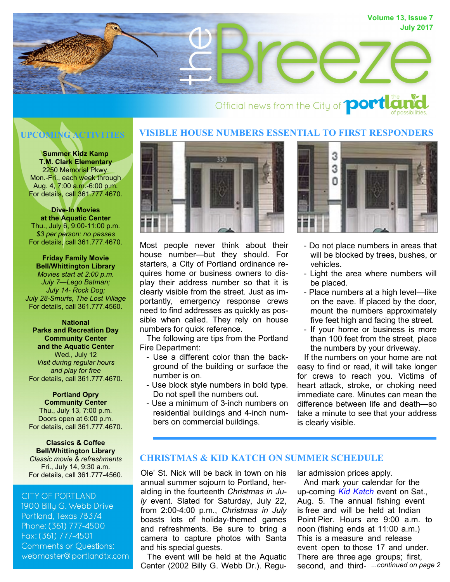

#### **VISIBLE HOUSE NUMBERS ESSENTIAL TO FIRST RESPONDERS UPCOMING ACTIVITIES**

**Summer Kidz Kamp T.M. Clark Elementary** 2250 Memorial Pkwy. Mon.-Fri., each week through Aug. 4, 7:00 a.m.-6:00 p.m. For details, call 361.777.4670.

**Dive-In Movies at the Aquatic Center** Thu., July 6, 9:00-11:00 p.m. *\$3 per person; no passes* For details, call 361.777.4670.

**Friday Family Movie Bell/Whittington Library** *Movies start at 2:00 p.m. July 7—Lego Batman; July 14- Rock Dog; July 28-Smurfs, The Lost Village* For details, call 361.777.4560.

**National Parks and Recreation Day Community Center and the Aquatic Center** Wed., July 12 *Visit during regular hours and play for free* For details, call 361.777.4670.

**Portland Opry Community Center** Thu., July 13, 7:00 p.m. Doors open at 6:00 p.m. For details, call 361.777.4670.

**Classics & Coffee Bell/Whittington Library** *Classic movie & refreshments* Fri., July 14, 9:30 a.m.

# **CITY OF PORTLAND**

1900 Billu G. Webb Drive Portland, Texas 78374 Phone: (361) 777-4500 Fax: (361) 777-4501 **Comments or Questions:** webmaster@portlandtx.com



Most people never think about their house number—but they should. For starters, a City of Portland ordinance requires home or business owners to display their address number so that it is clearly visible from the street. Just as importantly, emergency response crews need to find addresses as quickly as possible when called. They rely on house numbers for quick reference.

 The following are tips from the Portland Fire Department:

- Use a different color than the background of the building or surface the number is on.
- Use block style numbers in bold type. Do not spell the numbers out.
- Use a minimum of 3-inch numbers on residential buildings and 4-inch numbers on commercial buildings.



- Do not place numbers in areas that will be blocked by trees, bushes, or vehicles.
- Light the area where numbers will be placed.
- Place numbers at a high level—like on the eave. If placed by the door, mount the numbers approximately five feet high and facing the street.
- If your home or business is more than 100 feet from the street, place the numbers by your driveway.

 If the numbers on your home are not easy to find or read, it will take longer for crews to reach you. Victims of heart attack, stroke, or choking need immediate care. Minutes can mean the difference between life and death—so take a minute to see that your address is clearly visible.

# **CHRISTMAS & KID KATCH ON SUMMER SCHEDULE**

For details, call 361.777-4560. Ole' St. Nick will be back in town on his annual summer sojourn to Portland, heralding in the fourteenth *Christmas in July* event. Slated for Saturday, July 22, from 2:00-4:00 p.m., *Christmas in July* boasts lots of holiday-themed games and refreshments. Be sure to bring a camera to capture photos with Santa and his special guests.

> The event will be held at the Aquatic Center (2002 Billy G. Webb Dr.). Regu

lar admission prices apply.

second, and third- ...continued on page 2 And mark your calendar for the up-coming *[Kid Katch](http://portlandtx.com/index.aspx?nid=126)* event on Sat., Aug. 5. The annual fishing event is free and will be held at Indian Point Pier. Hours are 9:00 a.m. to noon (fishing ends at 11:00 a.m.) This is a measure and release event open to those 17 and under. There are three age groups; first,